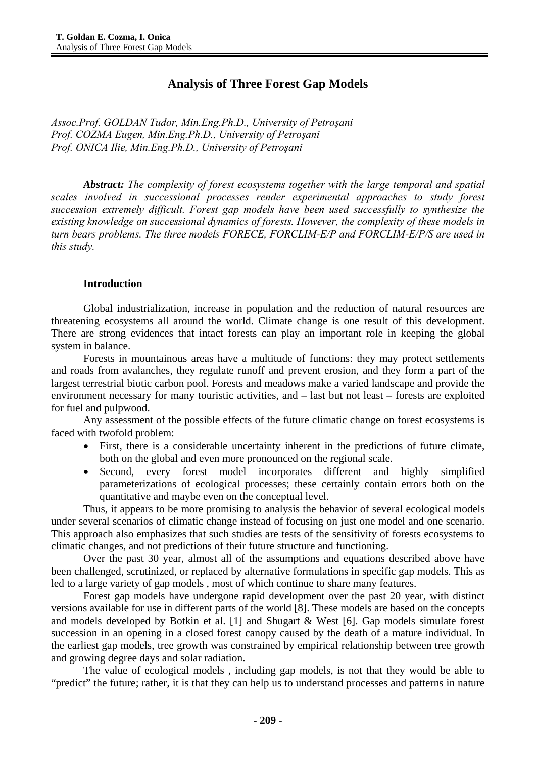# **Analysis of Three Forest Gap Models**

*Assoc.Prof. GOLDAN Tudor, Min.Eng.Ph.D., University of Petroşani Prof. COZMA Eugen, Min.Eng.Ph.D., University of Petroşani Prof. ONICA Ilie, Min.Eng.Ph.D., University of Petroşani* 

*Abstract: The complexity of forest ecosystems together with the large temporal and spatial scales involved in successional processes render experimental approaches to study forest succession extremely difficult. Forest gap models have been used successfully to synthesize the existing knowledge on successional dynamics of forests. However, the complexity of these models in turn bears problems. The three models FORECE, FORCLIM-E/P and FORCLIM-E/P/S are used in this study.* 

### **Introduction**

Global industrialization, increase in population and the reduction of natural resources are threatening ecosystems all around the world. Climate change is one result of this development. There are strong evidences that intact forests can play an important role in keeping the global system in balance.

Forests in mountainous areas have a multitude of functions: they may protect settlements and roads from avalanches, they regulate runoff and prevent erosion, and they form a part of the largest terrestrial biotic carbon pool. Forests and meadows make a varied landscape and provide the environment necessary for many touristic activities, and – last but not least – forests are exploited for fuel and pulpwood.

Any assessment of the possible effects of the future climatic change on forest ecosystems is faced with twofold problem:

- First, there is a considerable uncertainty inherent in the predictions of future climate, both on the global and even more pronounced on the regional scale.
- Second, every forest model incorporates different and highly simplified parameterizations of ecological processes; these certainly contain errors both on the quantitative and maybe even on the conceptual level.

Thus, it appears to be more promising to analysis the behavior of several ecological models under several scenarios of climatic change instead of focusing on just one model and one scenario. This approach also emphasizes that such studies are tests of the sensitivity of forests ecosystems to climatic changes, and not predictions of their future structure and functioning.

Over the past 30 year, almost all of the assumptions and equations described above have been challenged, scrutinized, or replaced by alternative formulations in specific gap models. This as led to a large variety of gap models , most of which continue to share many features.

Forest gap models have undergone rapid development over the past 20 year, with distinct versions available for use in different parts of the world [8]. These models are based on the concepts and models developed by Botkin et al. [1] and Shugart & West [6]. Gap models simulate forest succession in an opening in a closed forest canopy caused by the death of a mature individual. In the earliest gap models, tree growth was constrained by empirical relationship between tree growth and growing degree days and solar radiation.

The value of ecological models , including gap models, is not that they would be able to "predict" the future; rather, it is that they can help us to understand processes and patterns in nature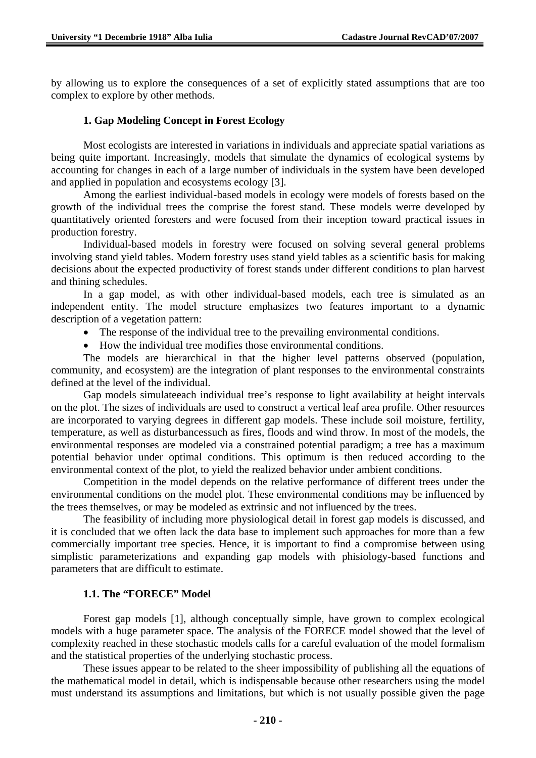by allowing us to explore the consequences of a set of explicitly stated assumptions that are too complex to explore by other methods.

## **1. Gap Modeling Concept in Forest Ecology**

Most ecologists are interested in variations in individuals and appreciate spatial variations as being quite important. Increasingly, models that simulate the dynamics of ecological systems by accounting for changes in each of a large number of individuals in the system have been developed and applied in population and ecosystems ecology [3].

Among the earliest individual-based models in ecology were models of forests based on the growth of the individual trees the comprise the forest stand. These models werre developed by quantitatively oriented foresters and were focused from their inception toward practical issues in production forestry.

Individual-based models in forestry were focused on solving several general problems involving stand yield tables. Modern forestry uses stand yield tables as a scientific basis for making decisions about the expected productivity of forest stands under different conditions to plan harvest and thining schedules.

In a gap model, as with other individual-based models, each tree is simulated as an independent entity. The model structure emphasizes two features important to a dynamic description of a vegetation pattern:

- The response of the individual tree to the prevailing environmental conditions.
- How the individual tree modifies those environmental conditions.

The models are hierarchical in that the higher level patterns observed (population, community, and ecosystem) are the integration of plant responses to the environmental constraints defined at the level of the individual.

Gap models simulateeach individual tree's response to light availability at height intervals on the plot. The sizes of individuals are used to construct a vertical leaf area profile. Other resources are incorporated to varying degrees in different gap models. These include soil moisture, fertility, temperature, as well as disturbancessuch as fires, floods and wind throw. In most of the models, the environmental responses are modeled via a constrained potential paradigm; a tree has a maximum potential behavior under optimal conditions. This optimum is then reduced according to the environmental context of the plot, to yield the realized behavior under ambient conditions.

Competition in the model depends on the relative performance of different trees under the environmental conditions on the model plot. These environmental conditions may be influenced by the trees themselves, or may be modeled as extrinsic and not influenced by the trees.

The feasibility of including more physiological detail in forest gap models is discussed, and it is concluded that we often lack the data base to implement such approaches for more than a few commercially important tree species. Hence, it is important to find a compromise between using simplistic parameterizations and expanding gap models with phisiology-based functions and parameters that are difficult to estimate.

## **1.1. The "FORECE" Model**

Forest gap models [1], although conceptually simple, have grown to complex ecological models with a huge parameter space. The analysis of the FORECE model showed that the level of complexity reached in these stochastic models calls for a careful evaluation of the model formalism and the statistical properties of the underlying stochastic process.

These issues appear to be related to the sheer impossibility of publishing all the equations of the mathematical model in detail, which is indispensable because other researchers using the model must understand its assumptions and limitations, but which is not usually possible given the page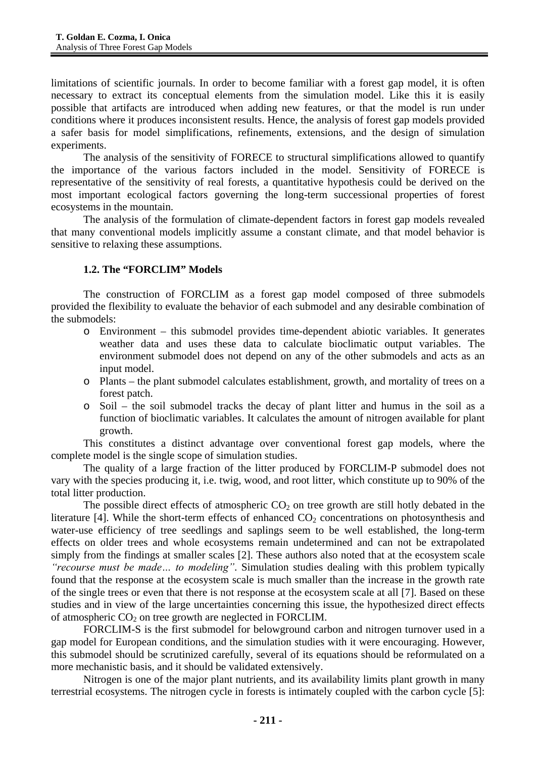limitations of scientific journals. In order to become familiar with a forest gap model, it is often necessary to extract its conceptual elements from the simulation model. Like this it is easily possible that artifacts are introduced when adding new features, or that the model is run under conditions where it produces inconsistent results. Hence, the analysis of forest gap models provided a safer basis for model simplifications, refinements, extensions, and the design of simulation experiments.

The analysis of the sensitivity of FORECE to structural simplifications allowed to quantify the importance of the various factors included in the model. Sensitivity of FORECE is representative of the sensitivity of real forests, a quantitative hypothesis could be derived on the most important ecological factors governing the long-term successional properties of forest ecosystems in the mountain.

The analysis of the formulation of climate-dependent factors in forest gap models revealed that many conventional models implicitly assume a constant climate, and that model behavior is sensitive to relaxing these assumptions.

## **1.2. The "FORCLIM" Models**

The construction of FORCLIM as a forest gap model composed of three submodels provided the flexibility to evaluate the behavior of each submodel and any desirable combination of the submodels:

- o Environment this submodel provides time-dependent abiotic variables. It generates weather data and uses these data to calculate bioclimatic output variables. The environment submodel does not depend on any of the other submodels and acts as an input model.
- o Plants the plant submodel calculates establishment, growth, and mortality of trees on a forest patch.
- Soil the soil submodel tracks the decay of plant litter and humus in the soil as a function of bioclimatic variables. It calculates the amount of nitrogen available for plant growth.

This constitutes a distinct advantage over conventional forest gap models, where the complete model is the single scope of simulation studies.

The quality of a large fraction of the litter produced by FORCLIM-P submodel does not vary with the species producing it, i.e. twig, wood, and root litter, which constitute up to 90% of the total litter production.

The possible direct effects of atmospheric  $CO<sub>2</sub>$  on tree growth are still hotly debated in the literature [4]. While the short-term effects of enhanced  $CO<sub>2</sub>$  concentrations on photosynthesis and water-use efficiency of tree seedlings and saplings seem to be well established, the long-term effects on older trees and whole ecosystems remain undetermined and can not be extrapolated simply from the findings at smaller scales [2]. These authors also noted that at the ecosystem scale *"recourse must be made… to modeling"*. Simulation studies dealing with this problem typically found that the response at the ecosystem scale is much smaller than the increase in the growth rate of the single trees or even that there is not response at the ecosystem scale at all [7]. Based on these studies and in view of the large uncertainties concerning this issue, the hypothesized direct effects of atmospheric  $CO<sub>2</sub>$  on tree growth are neglected in FORCLIM.

FORCLIM-S is the first submodel for belowground carbon and nitrogen turnover used in a gap model for European conditions, and the simulation studies with it were encouraging. However, this submodel should be scrutinized carefully, several of its equations should be reformulated on a more mechanistic basis, and it should be validated extensively.

Nitrogen is one of the major plant nutrients, and its availability limits plant growth in many terrestrial ecosystems. The nitrogen cycle in forests is intimately coupled with the carbon cycle [5]: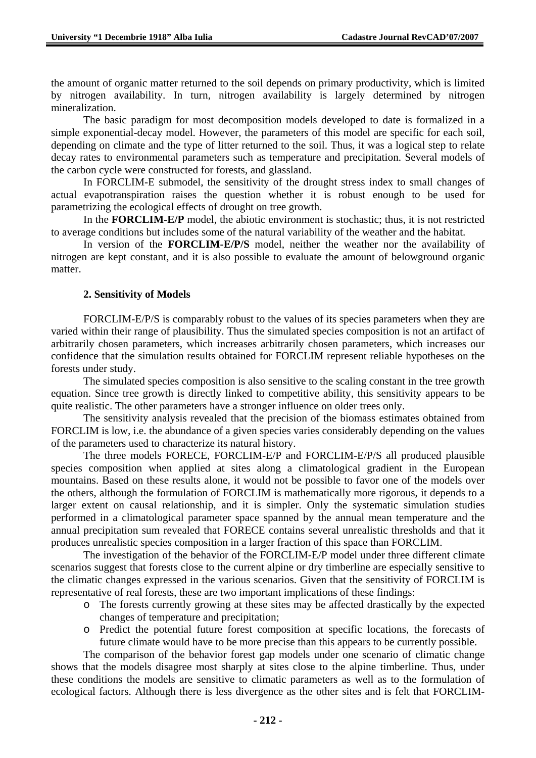the amount of organic matter returned to the soil depends on primary productivity, which is limited by nitrogen availability. In turn, nitrogen availability is largely determined by nitrogen mineralization.

The basic paradigm for most decomposition models developed to date is formalized in a simple exponential-decay model. However, the parameters of this model are specific for each soil, depending on climate and the type of litter returned to the soil. Thus, it was a logical step to relate decay rates to environmental parameters such as temperature and precipitation. Several models of the carbon cycle were constructed for forests, and glassland.

In FORCLIM-E submodel, the sensitivity of the drought stress index to small changes of actual evapotranspiration raises the question whether it is robust enough to be used for parametrizing the ecological effects of drought on tree growth.

In the **FORCLIM-E/P** model, the abiotic environment is stochastic; thus, it is not restricted to average conditions but includes some of the natural variability of the weather and the habitat.

In version of the **FORCLIM-E/P/S** model, neither the weather nor the availability of nitrogen are kept constant, and it is also possible to evaluate the amount of belowground organic matter.

## **2. Sensitivity of Models**

FORCLIM-E/P/S is comparably robust to the values of its species parameters when they are varied within their range of plausibility. Thus the simulated species composition is not an artifact of arbitrarily chosen parameters, which increases arbitrarily chosen parameters, which increases our confidence that the simulation results obtained for FORCLIM represent reliable hypotheses on the forests under study.

The simulated species composition is also sensitive to the scaling constant in the tree growth equation. Since tree growth is directly linked to competitive ability, this sensitivity appears to be quite realistic. The other parameters have a stronger influence on older trees only.

The sensitivity analysis revealed that the precision of the biomass estimates obtained from FORCLIM is low, i.e. the abundance of a given species varies considerably depending on the values of the parameters used to characterize its natural history.

The three models FORECE, FORCLIM-E/P and FORCLIM-E/P/S all produced plausible species composition when applied at sites along a climatological gradient in the European mountains. Based on these results alone, it would not be possible to favor one of the models over the others, although the formulation of FORCLIM is mathematically more rigorous, it depends to a larger extent on causal relationship, and it is simpler. Only the systematic simulation studies performed in a climatological parameter space spanned by the annual mean temperature and the annual precipitation sum revealed that FORECE contains several unrealistic thresholds and that it produces unrealistic species composition in a larger fraction of this space than FORCLIM.

The investigation of the behavior of the FORCLIM-E/P model under three different climate scenarios suggest that forests close to the current alpine or dry timberline are especially sensitive to the climatic changes expressed in the various scenarios. Given that the sensitivity of FORCLIM is representative of real forests, these are two important implications of these findings:

- o The forests currently growing at these sites may be affected drastically by the expected changes of temperature and precipitation;
- o Predict the potential future forest composition at specific locations, the forecasts of future climate would have to be more precise than this appears to be currently possible.

The comparison of the behavior forest gap models under one scenario of climatic change shows that the models disagree most sharply at sites close to the alpine timberline. Thus, under these conditions the models are sensitive to climatic parameters as well as to the formulation of ecological factors. Although there is less divergence as the other sites and is felt that FORCLIM-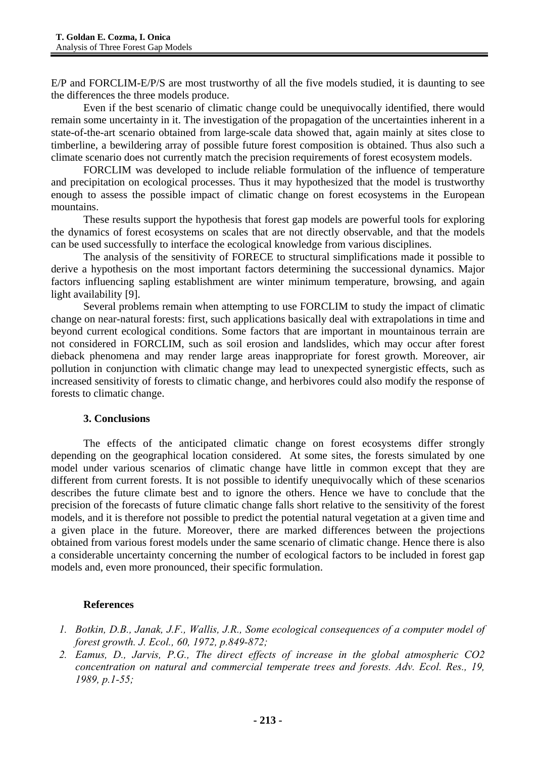E/P and FORCLIM-E/P/S are most trustworthy of all the five models studied, it is daunting to see the differences the three models produce.

Even if the best scenario of climatic change could be unequivocally identified, there would remain some uncertainty in it. The investigation of the propagation of the uncertainties inherent in a state-of-the-art scenario obtained from large-scale data showed that, again mainly at sites close to timberline, a bewildering array of possible future forest composition is obtained. Thus also such a climate scenario does not currently match the precision requirements of forest ecosystem models.

FORCLIM was developed to include reliable formulation of the influence of temperature and precipitation on ecological processes. Thus it may hypothesized that the model is trustworthy enough to assess the possible impact of climatic change on forest ecosystems in the European mountains.

These results support the hypothesis that forest gap models are powerful tools for exploring the dynamics of forest ecosystems on scales that are not directly observable, and that the models can be used successfully to interface the ecological knowledge from various disciplines.

The analysis of the sensitivity of FORECE to structural simplifications made it possible to derive a hypothesis on the most important factors determining the successional dynamics. Major factors influencing sapling establishment are winter minimum temperature, browsing, and again light availability [9].

Several problems remain when attempting to use FORCLIM to study the impact of climatic change on near-natural forests: first, such applications basically deal with extrapolations in time and beyond current ecological conditions. Some factors that are important in mountainous terrain are not considered in FORCLIM, such as soil erosion and landslides, which may occur after forest dieback phenomena and may render large areas inappropriate for forest growth. Moreover, air pollution in conjunction with climatic change may lead to unexpected synergistic effects, such as increased sensitivity of forests to climatic change, and herbivores could also modify the response of forests to climatic change.

## **3. Conclusions**

The effects of the anticipated climatic change on forest ecosystems differ strongly depending on the geographical location considered. At some sites, the forests simulated by one model under various scenarios of climatic change have little in common except that they are different from current forests. It is not possible to identify unequivocally which of these scenarios describes the future climate best and to ignore the others. Hence we have to conclude that the precision of the forecasts of future climatic change falls short relative to the sensitivity of the forest models, and it is therefore not possible to predict the potential natural vegetation at a given time and a given place in the future. Moreover, there are marked differences between the projections obtained from various forest models under the same scenario of climatic change. Hence there is also a considerable uncertainty concerning the number of ecological factors to be included in forest gap models and, even more pronounced, their specific formulation.

## **References**

- *1. Botkin, D.B., Janak, J.F., Wallis, J.R., Some ecological consequences of a computer model of forest growth. J. Ecol., 60, 1972, p.849-872;*
- *2. Eamus, D., Jarvis, P.G., The direct effects of increase in the global atmospheric CO2 concentration on natural and commercial temperate trees and forests. Adv. Ecol. Res., 19, 1989, p.1-55;*